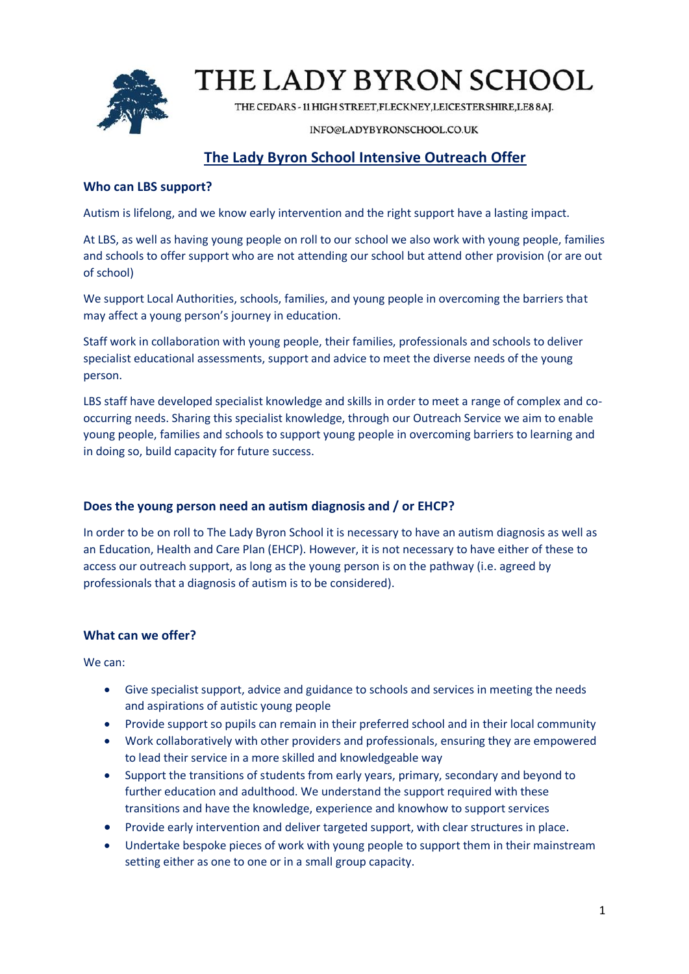

# THE LADY BYRON SCHOOL

THE CEDARS - 11 HIGH STREET, FLECKNEY, LEICESTERSHIRE, LE8 8AJ.

### INFO@LADYBYRONSCHOOL.CO.UK

# **The Lady Byron School Intensive Outreach Offer**

## **Who can LBS support?**

Autism is lifelong, and we know early intervention and the right support have a lasting impact.

At LBS, as well as having young people on roll to our school we also work with young people, families and schools to offer support who are not attending our school but attend other provision (or are out of school)

We support Local Authorities, schools, families, and young people in overcoming the barriers that may affect a young person's journey in education.

Staff work in collaboration with young people, their families, professionals and schools to deliver specialist educational assessments, support and advice to meet the diverse needs of the young person.

LBS staff have developed specialist knowledge and skills in order to meet a range of complex and cooccurring needs. Sharing this specialist knowledge, through our Outreach Service we aim to enable young people, families and schools to support young people in overcoming barriers to learning and in doing so, build capacity for future success.

### **Does the young person need an autism diagnosis and / or EHCP?**

In order to be on roll to The Lady Byron School it is necessary to have an autism diagnosis as well as an Education, Health and Care Plan (EHCP). However, it is not necessary to have either of these to access our outreach support, as long as the young person is on the pathway (i.e. agreed by professionals that a diagnosis of autism is to be considered).

### **What can we offer?**

We can:

- Give specialist support, advice and guidance to schools and services in meeting the needs and aspirations of autistic young people
- Provide support so pupils can remain in their preferred school and in their local community
- Work collaboratively with other providers and professionals, ensuring they are empowered to lead their service in a more skilled and knowledgeable way
- Support the transitions of students from early years, primary, secondary and beyond to further education and adulthood. We understand the support required with these transitions and have the knowledge, experience and knowhow to support services
- Provide early intervention and deliver targeted support, with clear structures in place.
- Undertake bespoke pieces of work with young people to support them in their mainstream setting either as one to one or in a small group capacity.